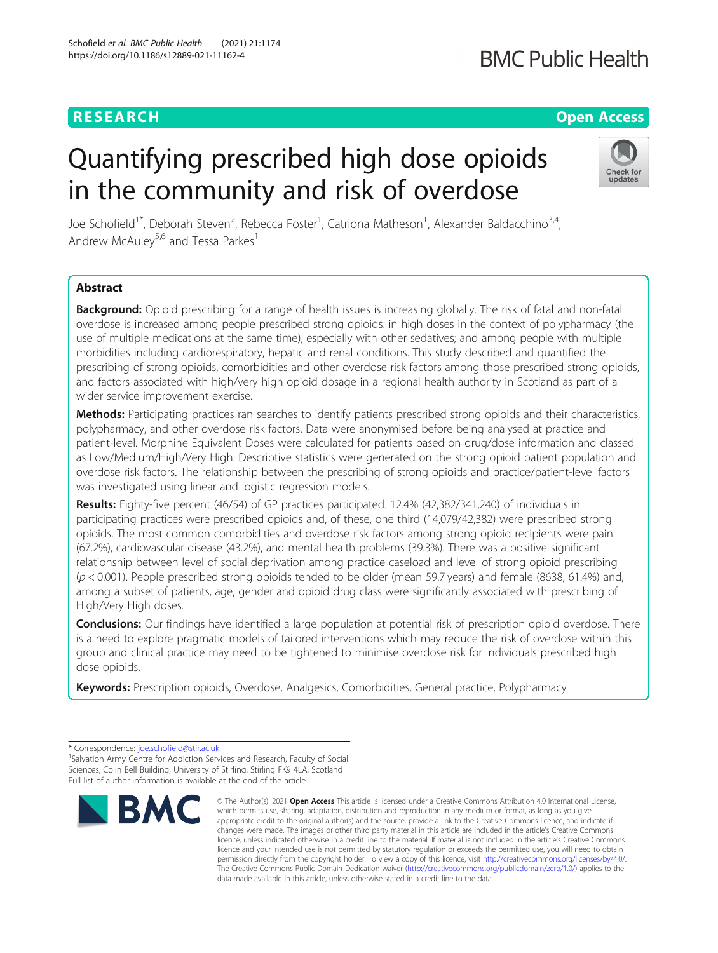# **RESEARCH CHEAR CHEAR CHEAR CHEAR CHEAR CHEAR CHEAR CHEAR CHEAR CHEAR CHEAR CHEAR CHEAR CHEAR CHEAR CHEAR CHEAR**

# **BMC Public Health**

# Quantifying prescribed high dose opioids in the community and risk of overdose



Joe Schofield<sup>1\*</sup>, Deborah Steven<sup>2</sup>, Rebecca Foster<sup>1</sup>, Catriona Matheson<sup>1</sup>, Alexander Baldacchino<sup>3,4</sup>, Andrew McAuley<sup>5,6</sup> and Tessa Parkes<sup>1</sup>

# Abstract

Background: Opioid prescribing for a range of health issues is increasing globally. The risk of fatal and non-fatal overdose is increased among people prescribed strong opioids: in high doses in the context of polypharmacy (the use of multiple medications at the same time), especially with other sedatives; and among people with multiple morbidities including cardiorespiratory, hepatic and renal conditions. This study described and quantified the prescribing of strong opioids, comorbidities and other overdose risk factors among those prescribed strong opioids, and factors associated with high/very high opioid dosage in a regional health authority in Scotland as part of a wider service improvement exercise.

Methods: Participating practices ran searches to identify patients prescribed strong opioids and their characteristics, polypharmacy, and other overdose risk factors. Data were anonymised before being analysed at practice and patient-level. Morphine Equivalent Doses were calculated for patients based on drug/dose information and classed as Low/Medium/High/Very High. Descriptive statistics were generated on the strong opioid patient population and overdose risk factors. The relationship between the prescribing of strong opioids and practice/patient-level factors was investigated using linear and logistic regression models.

Results: Eighty-five percent (46/54) of GP practices participated. 12.4% (42,382/341,240) of individuals in participating practices were prescribed opioids and, of these, one third (14,079/42,382) were prescribed strong opioids. The most common comorbidities and overdose risk factors among strong opioid recipients were pain (67.2%), cardiovascular disease (43.2%), and mental health problems (39.3%). There was a positive significant relationship between level of social deprivation among practice caseload and level of strong opioid prescribing (p < 0.001). People prescribed strong opioids tended to be older (mean 59.7 years) and female (8638, 61.4%) and, among a subset of patients, age, gender and opioid drug class were significantly associated with prescribing of High/Very High doses.

Conclusions: Our findings have identified a large population at potential risk of prescription opioid overdose. There is a need to explore pragmatic models of tailored interventions which may reduce the risk of overdose within this group and clinical practice may need to be tightened to minimise overdose risk for individuals prescribed high dose opioids.

Keywords: Prescription opioids, Overdose, Analgesics, Comorbidities, General practice, Polypharmacy

<sup>&</sup>lt;sup>1</sup> Salvation Army Centre for Addiction Services and Research, Faculty of Social Sciences, Colin Bell Building, University of Stirling, Stirling FK9 4LA, Scotland Full list of author information is available at the end of the article



<sup>©</sup> The Author(s), 2021 **Open Access** This article is licensed under a Creative Commons Attribution 4.0 International License, which permits use, sharing, adaptation, distribution and reproduction in any medium or format, as long as you give appropriate credit to the original author(s) and the source, provide a link to the Creative Commons licence, and indicate if changes were made. The images or other third party material in this article are included in the article's Creative Commons licence, unless indicated otherwise in a credit line to the material. If material is not included in the article's Creative Commons licence and your intended use is not permitted by statutory regulation or exceeds the permitted use, you will need to obtain permission directly from the copyright holder. To view a copy of this licence, visit [http://creativecommons.org/licenses/by/4.0/.](http://creativecommons.org/licenses/by/4.0/) The Creative Commons Public Domain Dedication waiver [\(http://creativecommons.org/publicdomain/zero/1.0/](http://creativecommons.org/publicdomain/zero/1.0/)) applies to the data made available in this article, unless otherwise stated in a credit line to the data.

<sup>\*</sup> Correspondence: [joe.schofield@stir.ac.uk](mailto:joe.schofield@stir.ac.uk) <sup>1</sup>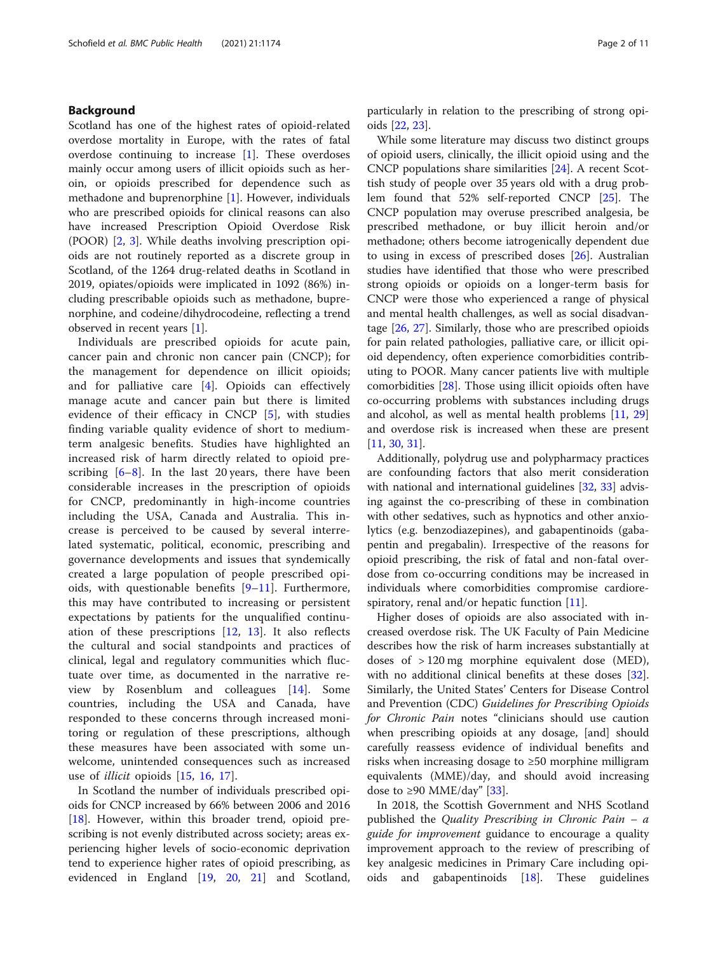# Background

Scotland has one of the highest rates of opioid-related overdose mortality in Europe, with the rates of fatal overdose continuing to increase  $[1]$  $[1]$ . These overdoses mainly occur among users of illicit opioids such as heroin, or opioids prescribed for dependence such as methadone and buprenorphine [\[1\]](#page-9-0). However, individuals who are prescribed opioids for clinical reasons can also have increased Prescription Opioid Overdose Risk (POOR) [[2,](#page-9-0) [3\]](#page-9-0). While deaths involving prescription opioids are not routinely reported as a discrete group in Scotland, of the 1264 drug-related deaths in Scotland in 2019, opiates/opioids were implicated in 1092 (86%) including prescribable opioids such as methadone, buprenorphine, and codeine/dihydrocodeine, reflecting a trend observed in recent years [[1\]](#page-9-0).

Individuals are prescribed opioids for acute pain, cancer pain and chronic non cancer pain (CNCP); for the management for dependence on illicit opioids; and for palliative care [\[4](#page-9-0)]. Opioids can effectively manage acute and cancer pain but there is limited evidence of their efficacy in CNCP [\[5](#page-9-0)], with studies finding variable quality evidence of short to mediumterm analgesic benefits. Studies have highlighted an increased risk of harm directly related to opioid prescribing  $[6-8]$  $[6-8]$  $[6-8]$  $[6-8]$ . In the last 20 years, there have been considerable increases in the prescription of opioids for CNCP, predominantly in high-income countries including the USA, Canada and Australia. This increase is perceived to be caused by several interrelated systematic, political, economic, prescribing and governance developments and issues that syndemically created a large population of people prescribed opioids, with questionable benefits  $[9-11]$  $[9-11]$  $[9-11]$  $[9-11]$ . Furthermore, this may have contributed to increasing or persistent expectations by patients for the unqualified continuation of these prescriptions  $[12, 13]$  $[12, 13]$  $[12, 13]$  $[12, 13]$ . It also reflects the cultural and social standpoints and practices of clinical, legal and regulatory communities which fluctuate over time, as documented in the narrative review by Rosenblum and colleagues [\[14](#page-9-0)]. Some countries, including the USA and Canada, have responded to these concerns through increased monitoring or regulation of these prescriptions, although these measures have been associated with some unwelcome, unintended consequences such as increased use of illicit opioids [\[15](#page-9-0), [16](#page-9-0), [17\]](#page-9-0).

In Scotland the number of individuals prescribed opioids for CNCP increased by 66% between 2006 and 2016 [[18\]](#page-9-0). However, within this broader trend, opioid prescribing is not evenly distributed across society; areas experiencing higher levels of socio-economic deprivation tend to experience higher rates of opioid prescribing, as evidenced in England [\[19,](#page-9-0) [20](#page-9-0), [21\]](#page-9-0) and Scotland, particularly in relation to the prescribing of strong opioids [[22](#page-9-0), [23](#page-9-0)].

While some literature may discuss two distinct groups of opioid users, clinically, the illicit opioid using and the CNCP populations share similarities [\[24](#page-9-0)]. A recent Scottish study of people over 35 years old with a drug problem found that 52% self-reported CNCP [\[25\]](#page-9-0). The CNCP population may overuse prescribed analgesia, be prescribed methadone, or buy illicit heroin and/or methadone; others become iatrogenically dependent due to using in excess of prescribed doses [[26](#page-9-0)]. Australian studies have identified that those who were prescribed strong opioids or opioids on a longer-term basis for CNCP were those who experienced a range of physical and mental health challenges, as well as social disadvantage [[26,](#page-9-0) [27\]](#page-9-0). Similarly, those who are prescribed opioids for pain related pathologies, palliative care, or illicit opioid dependency, often experience comorbidities contributing to POOR. Many cancer patients live with multiple comorbidities [\[28\]](#page-9-0). Those using illicit opioids often have co-occurring problems with substances including drugs and alcohol, as well as mental health problems [[11,](#page-9-0) [29](#page-9-0)] and overdose risk is increased when these are present [[11,](#page-9-0) [30,](#page-9-0) [31\]](#page-9-0).

Additionally, polydrug use and polypharmacy practices are confounding factors that also merit consideration with national and international guidelines [\[32,](#page-9-0) [33](#page-10-0)] advising against the co-prescribing of these in combination with other sedatives, such as hypnotics and other anxiolytics (e.g. benzodiazepines), and gabapentinoids (gabapentin and pregabalin). Irrespective of the reasons for opioid prescribing, the risk of fatal and non-fatal overdose from co-occurring conditions may be increased in individuals where comorbidities compromise cardiore-spiratory, renal and/or hepatic function [\[11](#page-9-0)].

Higher doses of opioids are also associated with increased overdose risk. The UK Faculty of Pain Medicine describes how the risk of harm increases substantially at doses of > 120 mg morphine equivalent dose (MED), with no additional clinical benefits at these doses [\[32](#page-9-0)]. Similarly, the United States' Centers for Disease Control and Prevention (CDC) Guidelines for Prescribing Opioids for Chronic Pain notes "clinicians should use caution when prescribing opioids at any dosage, [and] should carefully reassess evidence of individual benefits and risks when increasing dosage to ≥50 morphine milligram equivalents (MME)/day, and should avoid increasing dose to ≥90 MME/day" [[33](#page-10-0)].

In 2018, the Scottish Government and NHS Scotland published the Quality Prescribing in Chronic Pain – a guide for improvement guidance to encourage a quality improvement approach to the review of prescribing of key analgesic medicines in Primary Care including opioids and gabapentinoids [\[18](#page-9-0)]. These guidelines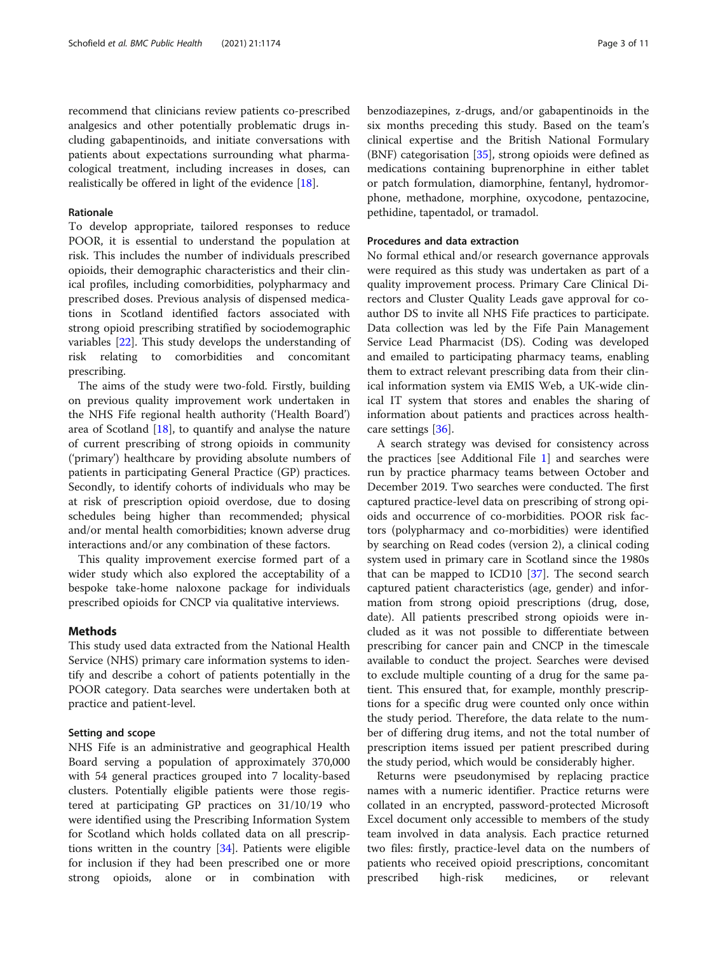recommend that clinicians review patients co-prescribed analgesics and other potentially problematic drugs including gabapentinoids, and initiate conversations with patients about expectations surrounding what pharmacological treatment, including increases in doses, can realistically be offered in light of the evidence [\[18](#page-9-0)].

# Rationale

To develop appropriate, tailored responses to reduce POOR, it is essential to understand the population at risk. This includes the number of individuals prescribed opioids, their demographic characteristics and their clinical profiles, including comorbidities, polypharmacy and prescribed doses. Previous analysis of dispensed medications in Scotland identified factors associated with strong opioid prescribing stratified by sociodemographic variables [[22\]](#page-9-0). This study develops the understanding of risk relating to comorbidities and concomitant prescribing.

The aims of the study were two-fold. Firstly, building on previous quality improvement work undertaken in the NHS Fife regional health authority ('Health Board') area of Scotland [\[18\]](#page-9-0), to quantify and analyse the nature of current prescribing of strong opioids in community ('primary') healthcare by providing absolute numbers of patients in participating General Practice (GP) practices. Secondly, to identify cohorts of individuals who may be at risk of prescription opioid overdose, due to dosing schedules being higher than recommended; physical and/or mental health comorbidities; known adverse drug interactions and/or any combination of these factors.

This quality improvement exercise formed part of a wider study which also explored the acceptability of a bespoke take-home naloxone package for individuals prescribed opioids for CNCP via qualitative interviews.

## Methods

This study used data extracted from the National Health Service (NHS) primary care information systems to identify and describe a cohort of patients potentially in the POOR category. Data searches were undertaken both at practice and patient-level.

# Setting and scope

NHS Fife is an administrative and geographical Health Board serving a population of approximately 370,000 with 54 general practices grouped into 7 locality-based clusters. Potentially eligible patients were those registered at participating GP practices on 31/10/19 who were identified using the Prescribing Information System for Scotland which holds collated data on all prescriptions written in the country [\[34](#page-10-0)]. Patients were eligible for inclusion if they had been prescribed one or more strong opioids, alone or in combination with

benzodiazepines, z-drugs, and/or gabapentinoids in the six months preceding this study. Based on the team's clinical expertise and the British National Formulary  $(BNF)$  categorisation [\[35](#page-10-0)], strong opioids were defined as medications containing buprenorphine in either tablet or patch formulation, diamorphine, fentanyl, hydromorphone, methadone, morphine, oxycodone, pentazocine, pethidine, tapentadol, or tramadol.

# Procedures and data extraction

No formal ethical and/or research governance approvals were required as this study was undertaken as part of a quality improvement process. Primary Care Clinical Directors and Cluster Quality Leads gave approval for coauthor DS to invite all NHS Fife practices to participate. Data collection was led by the Fife Pain Management Service Lead Pharmacist (DS). Coding was developed and emailed to participating pharmacy teams, enabling them to extract relevant prescribing data from their clinical information system via EMIS Web, a UK-wide clinical IT system that stores and enables the sharing of information about patients and practices across healthcare settings [[36](#page-10-0)].

A search strategy was devised for consistency across the practices [see Additional File [1\]](#page-8-0) and searches were run by practice pharmacy teams between October and December 2019. Two searches were conducted. The first captured practice-level data on prescribing of strong opioids and occurrence of co-morbidities. POOR risk factors (polypharmacy and co-morbidities) were identified by searching on Read codes (version 2), a clinical coding system used in primary care in Scotland since the 1980s that can be mapped to ICD10 [\[37](#page-10-0)]. The second search captured patient characteristics (age, gender) and information from strong opioid prescriptions (drug, dose, date). All patients prescribed strong opioids were included as it was not possible to differentiate between prescribing for cancer pain and CNCP in the timescale available to conduct the project. Searches were devised to exclude multiple counting of a drug for the same patient. This ensured that, for example, monthly prescriptions for a specific drug were counted only once within the study period. Therefore, the data relate to the number of differing drug items, and not the total number of prescription items issued per patient prescribed during the study period, which would be considerably higher.

Returns were pseudonymised by replacing practice names with a numeric identifier. Practice returns were collated in an encrypted, password-protected Microsoft Excel document only accessible to members of the study team involved in data analysis. Each practice returned two files: firstly, practice-level data on the numbers of patients who received opioid prescriptions, concomitant prescribed high-risk medicines, or relevant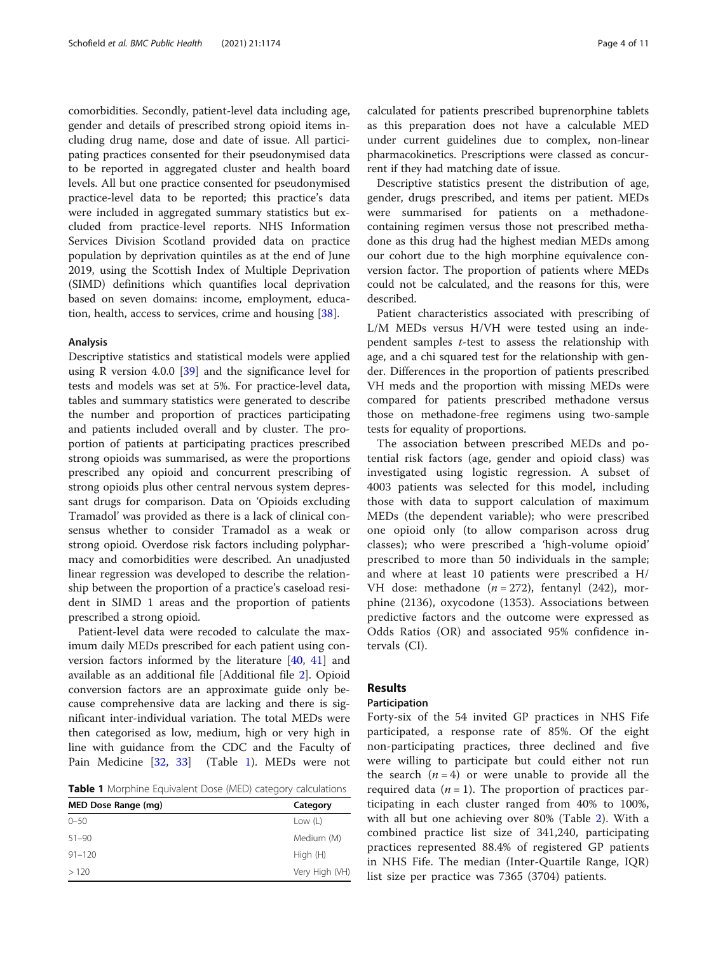comorbidities. Secondly, patient-level data including age, gender and details of prescribed strong opioid items including drug name, dose and date of issue. All participating practices consented for their pseudonymised data to be reported in aggregated cluster and health board levels. All but one practice consented for pseudonymised practice-level data to be reported; this practice's data were included in aggregated summary statistics but excluded from practice-level reports. NHS Information Services Division Scotland provided data on practice population by deprivation quintiles as at the end of June 2019, using the Scottish Index of Multiple Deprivation (SIMD) definitions which quantifies local deprivation based on seven domains: income, employment, education, health, access to services, crime and housing [[38](#page-10-0)].

# Analysis

Descriptive statistics and statistical models were applied using R version 4.0.0 [\[39\]](#page-10-0) and the significance level for tests and models was set at 5%. For practice-level data, tables and summary statistics were generated to describe the number and proportion of practices participating and patients included overall and by cluster. The proportion of patients at participating practices prescribed strong opioids was summarised, as were the proportions prescribed any opioid and concurrent prescribing of strong opioids plus other central nervous system depressant drugs for comparison. Data on 'Opioids excluding Tramadol' was provided as there is a lack of clinical consensus whether to consider Tramadol as a weak or strong opioid. Overdose risk factors including polypharmacy and comorbidities were described. An unadjusted linear regression was developed to describe the relationship between the proportion of a practice's caseload resident in SIMD 1 areas and the proportion of patients prescribed a strong opioid.

Patient-level data were recoded to calculate the maximum daily MEDs prescribed for each patient using conversion factors informed by the literature [\[40](#page-10-0), [41\]](#page-10-0) and available as an additional file [Additional file [2](#page-8-0)]. Opioid conversion factors are an approximate guide only because comprehensive data are lacking and there is significant inter-individual variation. The total MEDs were then categorised as low, medium, high or very high in line with guidance from the CDC and the Faculty of Pain Medicine [[32,](#page-9-0) [33\]](#page-10-0) (Table 1). MEDs were not

**Table 1** Morphine Equivalent Dose (MED) category calculations

| MED Dose Range (mg) | Category       |  |  |
|---------------------|----------------|--|--|
| $0 - 50$            | Low $(L)$      |  |  |
| $51 - 90$           | Medium (M)     |  |  |
| $91 - 120$          | High (H)       |  |  |
| >120                | Very High (VH) |  |  |

calculated for patients prescribed buprenorphine tablets as this preparation does not have a calculable MED under current guidelines due to complex, non-linear pharmacokinetics. Prescriptions were classed as concurrent if they had matching date of issue.

Descriptive statistics present the distribution of age, gender, drugs prescribed, and items per patient. MEDs were summarised for patients on a methadonecontaining regimen versus those not prescribed methadone as this drug had the highest median MEDs among our cohort due to the high morphine equivalence conversion factor. The proportion of patients where MEDs could not be calculated, and the reasons for this, were described.

Patient characteristics associated with prescribing of L/M MEDs versus H/VH were tested using an independent samples t-test to assess the relationship with age, and a chi squared test for the relationship with gender. Differences in the proportion of patients prescribed VH meds and the proportion with missing MEDs were compared for patients prescribed methadone versus those on methadone-free regimens using two-sample tests for equality of proportions.

The association between prescribed MEDs and potential risk factors (age, gender and opioid class) was investigated using logistic regression. A subset of 4003 patients was selected for this model, including those with data to support calculation of maximum MEDs (the dependent variable); who were prescribed one opioid only (to allow comparison across drug classes); who were prescribed a 'high-volume opioid' prescribed to more than 50 individuals in the sample; and where at least 10 patients were prescribed a H/ VH dose: methadone  $(n = 272)$ , fentanyl (242), morphine (2136), oxycodone (1353). Associations between predictive factors and the outcome were expressed as Odds Ratios (OR) and associated 95% confidence intervals (CI).

# Results

#### Participation

Forty-six of the 54 invited GP practices in NHS Fife participated, a response rate of 85%. Of the eight non-participating practices, three declined and five were willing to participate but could either not run the search  $(n = 4)$  or were unable to provide all the required data  $(n = 1)$ . The proportion of practices participating in each cluster ranged from 40% to 100%, with all but one achieving over 80% (Table [2](#page-4-0)). With a combined practice list size of 341,240, participating practices represented 88.4% of registered GP patients in NHS Fife. The median (Inter-Quartile Range, IQR) list size per practice was 7365 (3704) patients.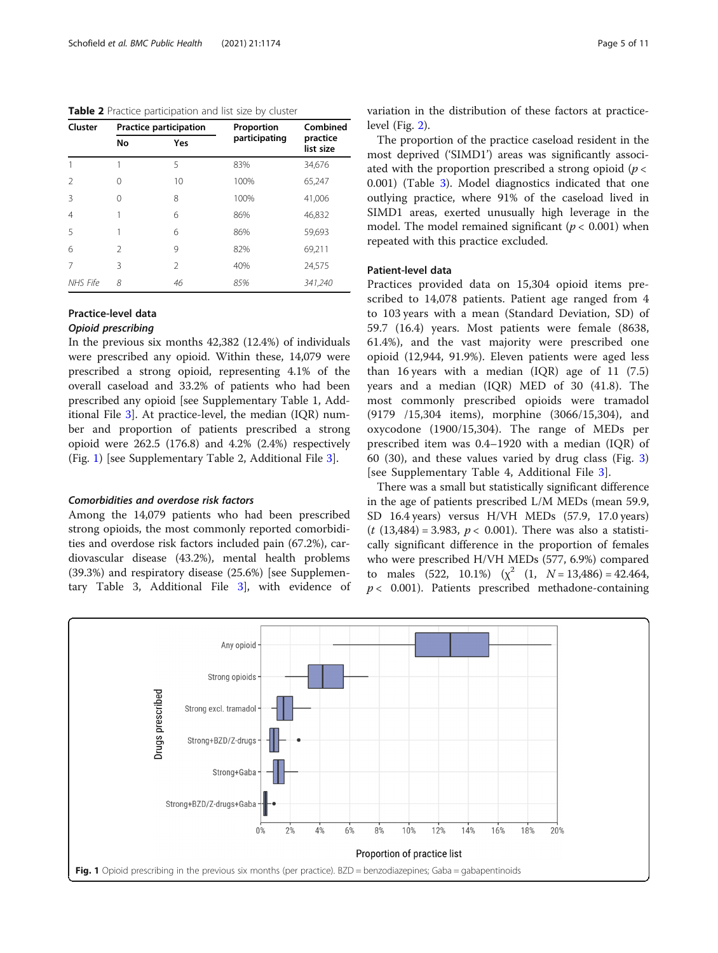<span id="page-4-0"></span>Table 2 Practice participation and list size by cluster

| Cluster        |                | Practice participation | Proportion    | Combined              |  |
|----------------|----------------|------------------------|---------------|-----------------------|--|
|                | <b>No</b>      | Yes                    | participating | practice<br>list size |  |
|                |                | 5                      | 83%           | 34,676                |  |
| 2              | O              | 10                     | 100%          | 65,247                |  |
| Β              | Ω              | 8                      | 100%          | 41,006                |  |
| $\overline{4}$ |                | 6                      | 86%           | 46,832                |  |
| 5              |                | 6                      | 86%           | 59,693                |  |
| 6              | $\mathfrak{D}$ | 9                      | 82%           | 69,211                |  |
| 7              | 3              | $\mathfrak{D}$         | 40%           | 24,575                |  |
| NHS Fife       | 8              | 46                     | 85%           | 341,240               |  |

# Practice-level data

# Opioid prescribing

In the previous six months 42,382 (12.4%) of individuals were prescribed any opioid. Within these, 14,079 were prescribed a strong opioid, representing 4.1% of the overall caseload and 33.2% of patients who had been prescribed any opioid [see Supplementary Table 1, Additional File [3\]](#page-8-0). At practice-level, the median (IQR) number and proportion of patients prescribed a strong opioid were 262.5 (176.8) and 4.2% (2.4%) respectively (Fig. 1) [see Supplementary Table 2, Additional File [3\]](#page-8-0).

# Comorbidities and overdose risk factors

Among the 14,079 patients who had been prescribed strong opioids, the most commonly reported comorbidities and overdose risk factors included pain (67.2%), cardiovascular disease (43.2%), mental health problems (39.3%) and respiratory disease (25.6%) [see Supplementary Table 3, Additional File [3\]](#page-8-0), with evidence of variation in the distribution of these factors at practicelevel (Fig. [2\)](#page-5-0).

The proportion of the practice caseload resident in the most deprived ('SIMD1') areas was significantly associated with the proportion prescribed a strong opioid ( $p <$ 0.001) (Table [3](#page-5-0)). Model diagnostics indicated that one outlying practice, where 91% of the caseload lived in SIMD1 areas, exerted unusually high leverage in the model. The model remained significant ( $p < 0.001$ ) when repeated with this practice excluded.

# Patient-level data

Practices provided data on 15,304 opioid items prescribed to 14,078 patients. Patient age ranged from 4 to 103 years with a mean (Standard Deviation, SD) of 59.7 (16.4) years. Most patients were female (8638, 61.4%), and the vast majority were prescribed one opioid (12,944, 91.9%). Eleven patients were aged less than 16 years with a median  $(IOR)$  age of 11  $(7.5)$ years and a median (IQR) MED of 30 (41.8). The most commonly prescribed opioids were tramadol (9179 /15,304 items), morphine (3066/15,304), and oxycodone (1900/15,304). The range of MEDs per prescribed item was 0.4–1920 with a median (IQR) of 60 (30), and these values varied by drug class (Fig. [3](#page-6-0)) [see Supplementary Table 4, Additional File [3\]](#page-8-0).

There was a small but statistically significant difference in the age of patients prescribed L/M MEDs (mean 59.9, SD 16.4 years) versus H/VH MEDs (57.9, 17.0 years)  $(t (13,484) = 3.983, p < 0.001)$ . There was also a statistically significant difference in the proportion of females who were prescribed H/VH MEDs (577, 6.9%) compared to males (522, 10.1%)  $(x^2$  (1,  $N = 13,486) = 42.464$ ,  $p < 0.001$ ). Patients prescribed methadone-containing

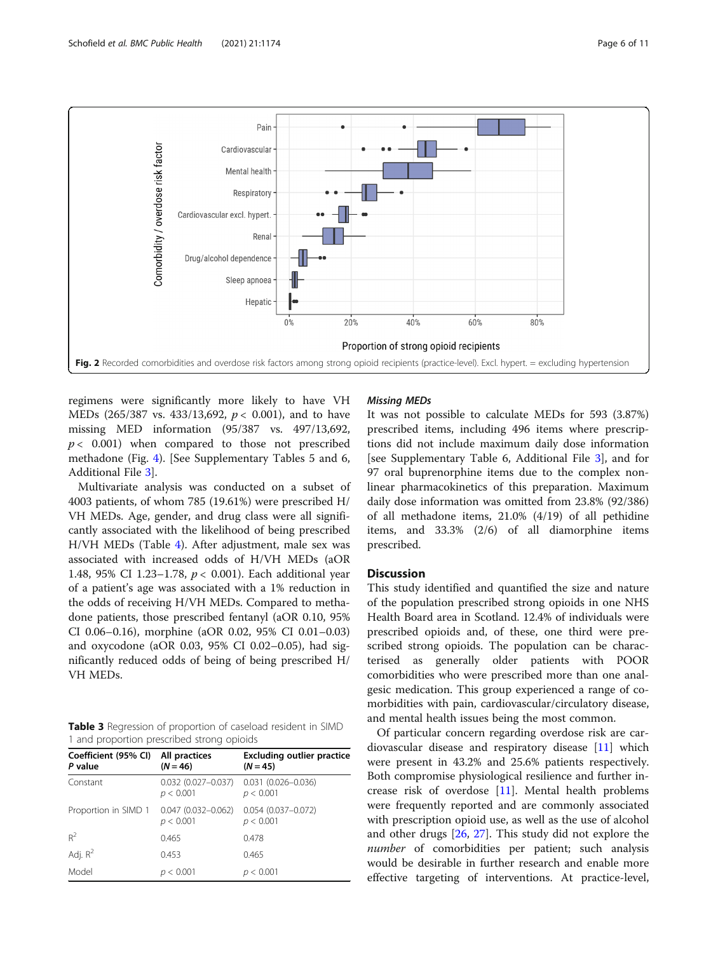<span id="page-5-0"></span>

regimens were significantly more likely to have VH MEDs (265/387 vs. 433/13,692,  $p < 0.001$ ), and to have missing MED information (95/387 vs. 497/13,692,  $p < 0.001$ ) when compared to those not prescribed methadone (Fig. [4\)](#page-6-0). [See Supplementary Tables 5 and 6, Additional File [3](#page-8-0)].

Multivariate analysis was conducted on a subset of 4003 patients, of whom 785 (19.61%) were prescribed H/ VH MEDs. Age, gender, and drug class were all significantly associated with the likelihood of being prescribed H/VH MEDs (Table [4](#page-7-0)). After adjustment, male sex was associated with increased odds of H/VH MEDs (aOR 1.48, 95% CI 1.23–1.78,  $p < 0.001$ ). Each additional year of a patient's age was associated with a 1% reduction in the odds of receiving H/VH MEDs. Compared to methadone patients, those prescribed fentanyl (aOR 0.10, 95% CI 0.06–0.16), morphine (aOR 0.02, 95% CI 0.01–0.03) and oxycodone (aOR 0.03, 95% CI 0.02–0.05), had significantly reduced odds of being of being prescribed H/ VH MEDs.

Table 3 Regression of proportion of caseload resident in SIMD 1 and proportion prescribed strong opioids

| Coefficient (95% CI)<br>P value | All practices<br>$(N = 46)$         | <b>Excluding outlier practice</b><br>$(N = 45)$ |
|---------------------------------|-------------------------------------|-------------------------------------------------|
| Constant                        | $0.032(0.027 - 0.037)$<br>p < 0.001 | $0.031(0.026 - 0.036)$<br>p < 0.001             |
| Proportion in SIMD 1            | $0.047(0.032 - 0.062)$<br>p < 0.001 | $0.054(0.037 - 0.072)$<br>p < 0.001             |
| $R^2$                           | 0.465                               | 0.478                                           |
| Adj. $R^2$                      | 0.453                               | 0.465                                           |
| Model                           | < 0.001                             | p < 0.001                                       |

#### Missing MEDs

It was not possible to calculate MEDs for 593 (3.87%) prescribed items, including 496 items where prescriptions did not include maximum daily dose information [see Supplementary Table 6, Additional File [3\]](#page-8-0), and for 97 oral buprenorphine items due to the complex nonlinear pharmacokinetics of this preparation. Maximum daily dose information was omitted from 23.8% (92/386) of all methadone items, 21.0% (4/19) of all pethidine items, and 33.3% (2/6) of all diamorphine items prescribed.

# **Discussion**

This study identified and quantified the size and nature of the population prescribed strong opioids in one NHS Health Board area in Scotland. 12.4% of individuals were prescribed opioids and, of these, one third were prescribed strong opioids. The population can be characterised as generally older patients with POOR comorbidities who were prescribed more than one analgesic medication. This group experienced a range of comorbidities with pain, cardiovascular/circulatory disease, and mental health issues being the most common.

Of particular concern regarding overdose risk are cardiovascular disease and respiratory disease [[11\]](#page-9-0) which were present in 43.2% and 25.6% patients respectively. Both compromise physiological resilience and further increase risk of overdose [\[11](#page-9-0)]. Mental health problems were frequently reported and are commonly associated with prescription opioid use, as well as the use of alcohol and other drugs [[26](#page-9-0), [27\]](#page-9-0). This study did not explore the number of comorbidities per patient; such analysis would be desirable in further research and enable more effective targeting of interventions. At practice-level,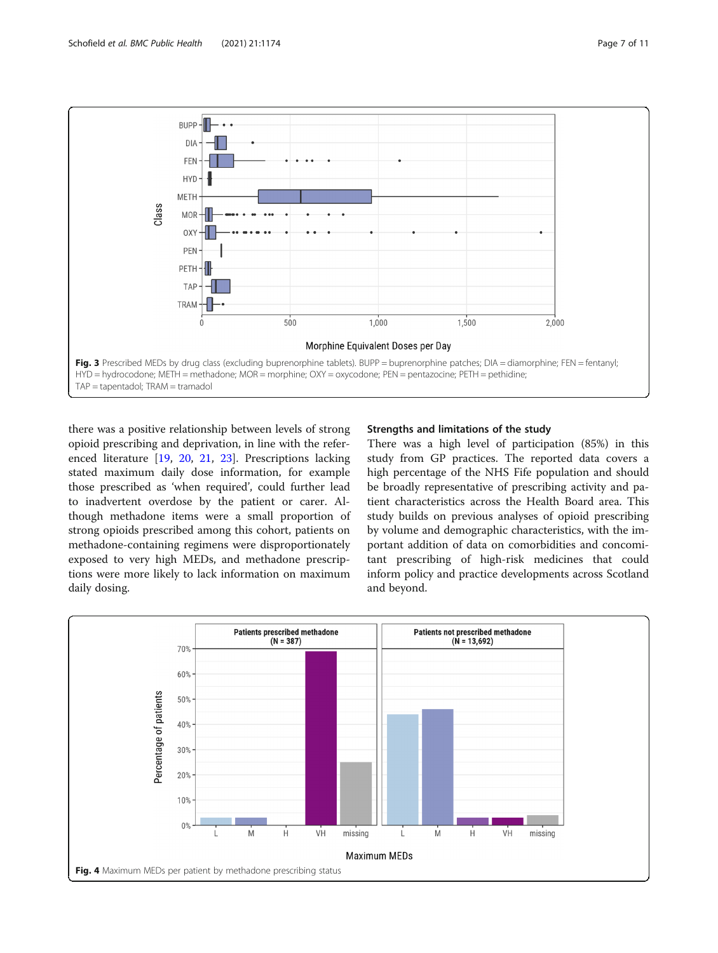<span id="page-6-0"></span>

there was a positive relationship between levels of strong opioid prescribing and deprivation, in line with the referenced literature [\[19](#page-9-0), [20](#page-9-0), [21](#page-9-0), [23\]](#page-9-0). Prescriptions lacking stated maximum daily dose information, for example those prescribed as 'when required', could further lead to inadvertent overdose by the patient or carer. Although methadone items were a small proportion of strong opioids prescribed among this cohort, patients on methadone-containing regimens were disproportionately exposed to very high MEDs, and methadone prescriptions were more likely to lack information on maximum daily dosing.

# Strengths and limitations of the study

There was a high level of participation (85%) in this study from GP practices. The reported data covers a high percentage of the NHS Fife population and should be broadly representative of prescribing activity and patient characteristics across the Health Board area. This study builds on previous analyses of opioid prescribing by volume and demographic characteristics, with the important addition of data on comorbidities and concomitant prescribing of high-risk medicines that could inform policy and practice developments across Scotland and beyond.

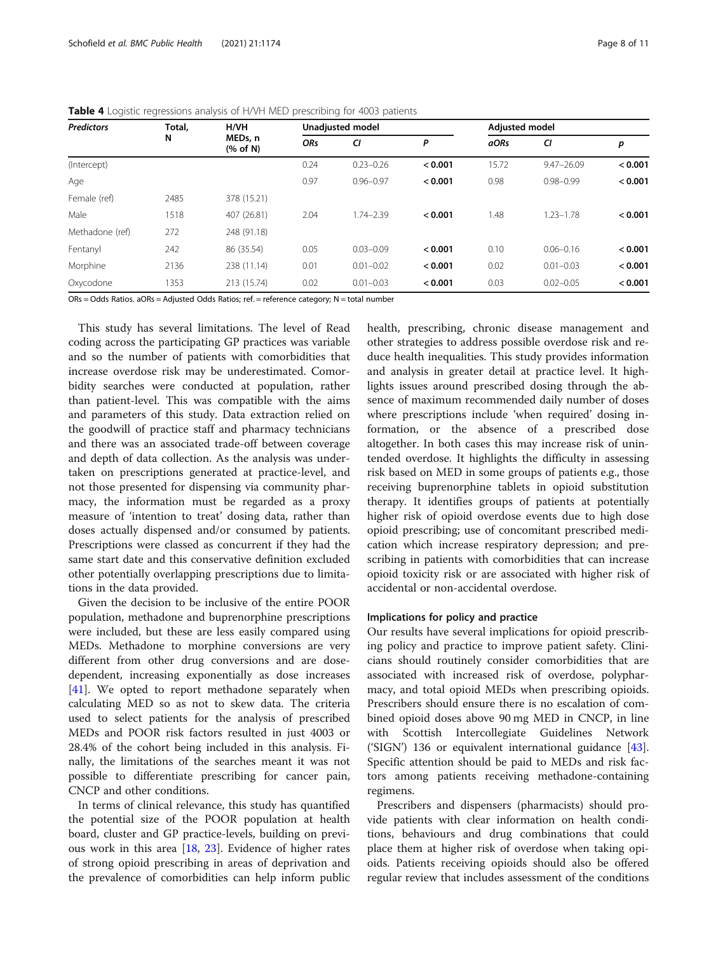| <b>Predictors</b> | Total, | H/VH                                 | <b>Unadjusted model</b> |               |         | <b>Adjusted model</b> |                |         |
|-------------------|--------|--------------------------------------|-------------------------|---------------|---------|-----------------------|----------------|---------|
|                   | N      | MEDs, n<br>$(% \mathbf{A})$ (% of N) | <b>ORs</b>              | CI            | Ρ       | aORs                  | CI             | р       |
| (Intercept)       |        |                                      | 0.24                    | $0.23 - 0.26$ | < 0.001 | 15.72                 | $9.47 - 26.09$ | < 0.001 |
| Age               |        |                                      | 0.97                    | $0.96 - 0.97$ | < 0.001 | 0.98                  | $0.98 - 0.99$  | < 0.001 |
| Female (ref)      | 2485   | 378 (15.21)                          |                         |               |         |                       |                |         |
| Male              | 1518   | 407 (26.81)                          | 2.04                    | $1.74 - 2.39$ | < 0.001 | 1.48                  | $1.23 - 1.78$  | < 0.001 |
| Methadone (ref)   | 272    | 248 (91.18)                          |                         |               |         |                       |                |         |
| Fentanyl          | 242    | 86 (35.54)                           | 0.05                    | $0.03 - 0.09$ | < 0.001 | 0.10                  | $0.06 - 0.16$  | < 0.001 |
| Morphine          | 2136   | 238 (11.14)                          | 0.01                    | $0.01 - 0.02$ | < 0.001 | 0.02                  | $0.01 - 0.03$  | < 0.001 |
| Oxycodone         | 1353   | 213 (15.74)                          | 0.02                    | $0.01 - 0.03$ | < 0.001 | 0.03                  | $0.02 - 0.05$  | < 0.001 |

<span id="page-7-0"></span>

| <b>Table 4</b> Logistic regressions analysis of H/VH MED prescribing for 4003 patients |
|----------------------------------------------------------------------------------------|
|----------------------------------------------------------------------------------------|

ORs = Odds Ratios. aORs = Adjusted Odds Ratios; ref. = reference category; N = total number

This study has several limitations. The level of Read coding across the participating GP practices was variable and so the number of patients with comorbidities that increase overdose risk may be underestimated. Comorbidity searches were conducted at population, rather than patient-level. This was compatible with the aims and parameters of this study. Data extraction relied on the goodwill of practice staff and pharmacy technicians and there was an associated trade-off between coverage and depth of data collection. As the analysis was undertaken on prescriptions generated at practice-level, and not those presented for dispensing via community pharmacy, the information must be regarded as a proxy measure of 'intention to treat' dosing data, rather than doses actually dispensed and/or consumed by patients. Prescriptions were classed as concurrent if they had the same start date and this conservative definition excluded other potentially overlapping prescriptions due to limitations in the data provided.

Given the decision to be inclusive of the entire POOR population, methadone and buprenorphine prescriptions were included, but these are less easily compared using MEDs. Methadone to morphine conversions are very different from other drug conversions and are dosedependent, increasing exponentially as dose increases [[41\]](#page-10-0). We opted to report methadone separately when calculating MED so as not to skew data. The criteria used to select patients for the analysis of prescribed MEDs and POOR risk factors resulted in just 4003 or 28.4% of the cohort being included in this analysis. Finally, the limitations of the searches meant it was not possible to differentiate prescribing for cancer pain, CNCP and other conditions.

In terms of clinical relevance, this study has quantified the potential size of the POOR population at health board, cluster and GP practice-levels, building on previous work in this area [[18,](#page-9-0) [23\]](#page-9-0). Evidence of higher rates of strong opioid prescribing in areas of deprivation and the prevalence of comorbidities can help inform public health, prescribing, chronic disease management and other strategies to address possible overdose risk and reduce health inequalities. This study provides information and analysis in greater detail at practice level. It highlights issues around prescribed dosing through the absence of maximum recommended daily number of doses where prescriptions include 'when required' dosing information, or the absence of a prescribed dose altogether. In both cases this may increase risk of unintended overdose. It highlights the difficulty in assessing risk based on MED in some groups of patients e.g., those receiving buprenorphine tablets in opioid substitution therapy. It identifies groups of patients at potentially higher risk of opioid overdose events due to high dose opioid prescribing; use of concomitant prescribed medication which increase respiratory depression; and prescribing in patients with comorbidities that can increase opioid toxicity risk or are associated with higher risk of accidental or non-accidental overdose.

# Implications for policy and practice

Our results have several implications for opioid prescribing policy and practice to improve patient safety. Clinicians should routinely consider comorbidities that are associated with increased risk of overdose, polypharmacy, and total opioid MEDs when prescribing opioids. Prescribers should ensure there is no escalation of combined opioid doses above 90 mg MED in CNCP, in line with Scottish Intercollegiate Guidelines Network ('SIGN') 136 or equivalent international guidance [\[43](#page-10-0)]. Specific attention should be paid to MEDs and risk factors among patients receiving methadone-containing regimens.

Prescribers and dispensers (pharmacists) should provide patients with clear information on health conditions, behaviours and drug combinations that could place them at higher risk of overdose when taking opioids. Patients receiving opioids should also be offered regular review that includes assessment of the conditions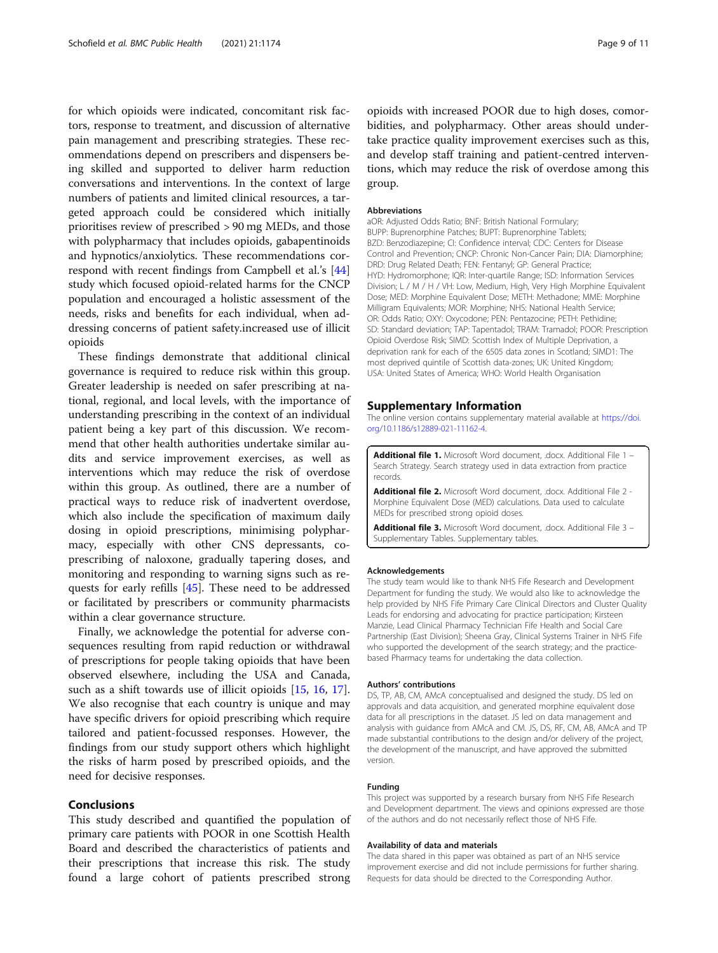<span id="page-8-0"></span>for which opioids were indicated, concomitant risk factors, response to treatment, and discussion of alternative pain management and prescribing strategies. These recommendations depend on prescribers and dispensers being skilled and supported to deliver harm reduction conversations and interventions. In the context of large numbers of patients and limited clinical resources, a targeted approach could be considered which initially prioritises review of prescribed > 90 mg MEDs, and those with polypharmacy that includes opioids, gabapentinoids and hypnotics/anxiolytics. These recommendations correspond with recent findings from Campbell et al.'s [[44](#page-10-0)] study which focused opioid-related harms for the CNCP population and encouraged a holistic assessment of the needs, risks and benefits for each individual, when addressing concerns of patient safety.increased use of illicit opioids

These findings demonstrate that additional clinical governance is required to reduce risk within this group. Greater leadership is needed on safer prescribing at national, regional, and local levels, with the importance of understanding prescribing in the context of an individual patient being a key part of this discussion. We recommend that other health authorities undertake similar audits and service improvement exercises, as well as interventions which may reduce the risk of overdose within this group. As outlined, there are a number of practical ways to reduce risk of inadvertent overdose, which also include the specification of maximum daily dosing in opioid prescriptions, minimising polypharmacy, especially with other CNS depressants, coprescribing of naloxone, gradually tapering doses, and monitoring and responding to warning signs such as requests for early refills [\[45](#page-10-0)]. These need to be addressed or facilitated by prescribers or community pharmacists within a clear governance structure.

Finally, we acknowledge the potential for adverse consequences resulting from rapid reduction or withdrawal of prescriptions for people taking opioids that have been observed elsewhere, including the USA and Canada, such as a shift towards use of illicit opioids [\[15](#page-9-0), [16,](#page-9-0) [17](#page-9-0)]. We also recognise that each country is unique and may have specific drivers for opioid prescribing which require tailored and patient-focussed responses. However, the findings from our study support others which highlight the risks of harm posed by prescribed opioids, and the need for decisive responses.

# Conclusions

This study described and quantified the population of primary care patients with POOR in one Scottish Health Board and described the characteristics of patients and their prescriptions that increase this risk. The study found a large cohort of patients prescribed strong

opioids with increased POOR due to high doses, comorbidities, and polypharmacy. Other areas should undertake practice quality improvement exercises such as this, and develop staff training and patient-centred interventions, which may reduce the risk of overdose among this group.

### Abbreviations

aOR: Adjusted Odds Ratio; BNF: British National Formulary; BUPP: Buprenorphine Patches; BUPT: Buprenorphine Tablets; BZD: Benzodiazepine; CI: Confidence interval; CDC: Centers for Disease Control and Prevention; CNCP: Chronic Non-Cancer Pain; DIA: Diamorphine; DRD: Drug Related Death; FEN: Fentanyl; GP: General Practice; HYD: Hydromorphone; IQR: Inter-quartile Range; ISD: Information Services Division; L / M / H / VH: Low, Medium, High, Very High Morphine Equivalent Dose; MED: Morphine Equivalent Dose; METH: Methadone; MME: Morphine Milligram Equivalents; MOR: Morphine; NHS: National Health Service; OR: Odds Ratio; OXY: Oxycodone; PEN: Pentazocine; PETH: Pethidine; SD: Standard deviation; TAP: Tapentadol; TRAM: Tramadol; POOR: Prescription Opioid Overdose Risk; SIMD: Scottish Index of Multiple Deprivation, a deprivation rank for each of the 6505 data zones in Scotland; SIMD1: The most deprived quintile of Scottish data-zones; UK: United Kingdom; USA: United States of America; WHO: World Health Organisation

#### Supplementary Information

The online version contains supplementary material available at [https://doi.](https://doi.org/10.1186/s12889-021-11162-4) [org/10.1186/s12889-021-11162-4.](https://doi.org/10.1186/s12889-021-11162-4)

Additional file 1. Microsoft Word document, .docx. Additional File 1 -Search Strategy. Search strategy used in data extraction from practice records.

Additional file 2. Microsoft Word document, .docx. Additional File 2 -Morphine Equivalent Dose (MED) calculations. Data used to calculate MEDs for prescribed strong opioid doses.

Additional file 3. Microsoft Word document, .docx. Additional File 3 -Supplementary Tables. Supplementary tables.

#### Acknowledgements

The study team would like to thank NHS Fife Research and Development Department for funding the study. We would also like to acknowledge the help provided by NHS Fife Primary Care Clinical Directors and Cluster Quality Leads for endorsing and advocating for practice participation; Kirsteen Manzie, Lead Clinical Pharmacy Technician Fife Health and Social Care Partnership (East Division); Sheena Gray, Clinical Systems Trainer in NHS Fife who supported the development of the search strategy; and the practicebased Pharmacy teams for undertaking the data collection.

#### Authors' contributions

DS, TP, AB, CM, AMcA conceptualised and designed the study. DS led on approvals and data acquisition, and generated morphine equivalent dose data for all prescriptions in the dataset. JS led on data management and analysis with guidance from AMcA and CM. JS, DS, RF, CM, AB, AMcA and TP made substantial contributions to the design and/or delivery of the project, the development of the manuscript, and have approved the submitted version.

#### Funding

This project was supported by a research bursary from NHS Fife Research and Development department. The views and opinions expressed are those of the authors and do not necessarily reflect those of NHS Fife.

#### Availability of data and materials

The data shared in this paper was obtained as part of an NHS service improvement exercise and did not include permissions for further sharing. Requests for data should be directed to the Corresponding Author.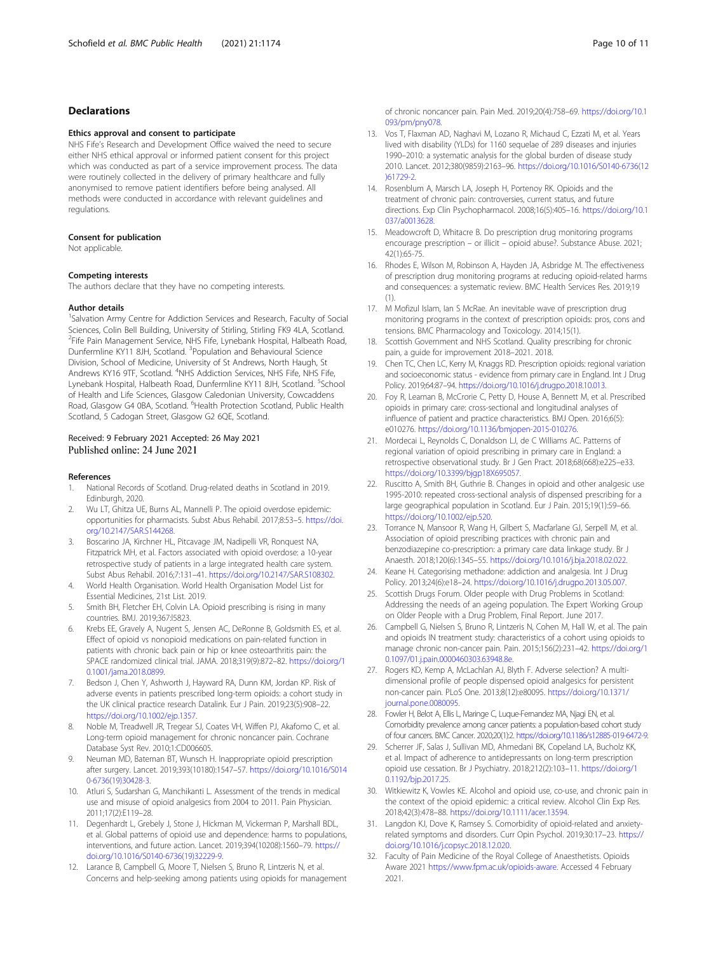# <span id="page-9-0"></span>Declarations

#### Ethics approval and consent to participate

NHS Fife's Research and Development Office waived the need to secure either NHS ethical approval or informed patient consent for this project which was conducted as part of a service improvement process. The data were routinely collected in the delivery of primary healthcare and fully anonymised to remove patient identifiers before being analysed. All methods were conducted in accordance with relevant guidelines and regulations.

#### Consent for publication

Not applicable.

#### Competing interests

The authors declare that they have no competing interests.

#### Author details

<sup>1</sup>Salvation Army Centre for Addiction Services and Research, Faculty of Social Sciences, Colin Bell Building, University of Stirling, Stirling FK9 4LA, Scotland. 2 Fife Pain Management Service, NHS Fife, Lynebank Hospital, Halbeath Road, Dunfermline KY11 8JH, Scotland. <sup>3</sup>Population and Behavioural Science Division, School of Medicine, University of St Andrews, North Haugh, St Andrews KY16 9TF, Scotland. <sup>4</sup>NHS Addiction Services, NHS Fife, NHS Fife, Lynebank Hospital, Halbeath Road, Dunfermline KY11 8JH, Scotland. <sup>5</sup>School of Health and Life Sciences, Glasgow Caledonian University, Cowcaddens Road, Glasgow G4 0BA, Scotland. <sup>6</sup> Health Protection Scotland, Public Health Scotland, 5 Cadogan Street, Glasgow G2 6QE, Scotland.

## Received: 9 February 2021 Accepted: 26 May 2021 Published online: 24 June 2021

#### References

- 1. National Records of Scotland. Drug-related deaths in Scotland in 2019. Edinburgh, 2020.
- 2. Wu LT, Ghitza UE, Burns AL, Mannelli P. The opioid overdose epidemic: opportunities for pharmacists. Subst Abus Rehabil. 2017;8:53–5. [https://doi.](https://doi.org/10.2147/SAR.S144268) [org/10.2147/SAR.S144268.](https://doi.org/10.2147/SAR.S144268)
- 3. Boscarino JA, Kirchner HL, Pitcavage JM, Nadipelli VR, Ronquest NA, Fitzpatrick MH, et al. Factors associated with opioid overdose: a 10-year retrospective study of patients in a large integrated health care system. Subst Abus Rehabil. 2016;7:131–41. <https://doi.org/10.2147/SAR.S108302>.
- 4. World Health Organisation. World Health Organisation Model List for Essential Medicines, 21st List. 2019.
- 5. Smith BH, Fletcher EH, Colvin LA. Opioid prescribing is rising in many countries. BMJ. 2019;367:l5823.
- Krebs EE, Gravely A, Nugent S, Jensen AC, DeRonne B, Goldsmith ES, et al. Effect of opioid vs nonopioid medications on pain-related function in patients with chronic back pain or hip or knee osteoarthritis pain: the SPACE randomized clinical trial. JAMA. 2018;319(9):872–82. [https://doi.org/1](https://doi.org/10.1001/jama.2018.0899) [0.1001/jama.2018.0899.](https://doi.org/10.1001/jama.2018.0899)
- Bedson J, Chen Y, Ashworth J, Hayward RA, Dunn KM, Jordan KP. Risk of adverse events in patients prescribed long-term opioids: a cohort study in the UK clinical practice research Datalink. Eur J Pain. 2019;23(5):908–22. <https://doi.org/10.1002/ejp.1357>.
- 8. Noble M, Treadwell JR, Tregear SJ, Coates VH, Wiffen PJ, Akafomo C, et al. Long-term opioid management for chronic noncancer pain. Cochrane Database Syst Rev. 2010;1:CD006605.
- 9. Neuman MD, Bateman BT, Wunsch H. Inappropriate opioid prescription after surgery. Lancet. 2019;393(10180):1547–57. [https://doi.org/10.1016/S014](https://doi.org/10.1016/S0140-6736(19)30428-3) [0-6736\(19\)30428-3.](https://doi.org/10.1016/S0140-6736(19)30428-3)
- 10. Atluri S, Sudarshan G, Manchikanti L. Assessment of the trends in medical use and misuse of opioid analgesics from 2004 to 2011. Pain Physician. 2011;17(2):E119–28.
- 11. Degenhardt L, Grebely J, Stone J, Hickman M, Vickerman P, Marshall BDL, et al. Global patterns of opioid use and dependence: harms to populations, interventions, and future action. Lancet. 2019;394(10208):1560–79. [https://](https://doi.org/10.1016/S0140-6736(19)32229-9) [doi.org/10.1016/S0140-6736\(19\)32229-9](https://doi.org/10.1016/S0140-6736(19)32229-9).
- 12. Larance B, Campbell G, Moore T, Nielsen S, Bruno R, Lintzeris N, et al. Concerns and help-seeking among patients using opioids for management

of chronic noncancer pain. Pain Med. 2019;20(4):758–69. [https://doi.org/10.1](https://doi.org/10.1093/pm/pny078) [093/pm/pny078](https://doi.org/10.1093/pm/pny078).

- 13. Vos T, Flaxman AD, Naghavi M, Lozano R, Michaud C, Ezzati M, et al. Years lived with disability (YLDs) for 1160 sequelae of 289 diseases and injuries 1990–2010: a systematic analysis for the global burden of disease study 2010. Lancet. 2012;380(9859):2163–96. [https://doi.org/10.1016/S0140-6736\(12](https://doi.org/10.1016/S0140-6736(12)61729-2) [\)61729-2](https://doi.org/10.1016/S0140-6736(12)61729-2).
- 14. Rosenblum A, Marsch LA, Joseph H, Portenoy RK. Opioids and the treatment of chronic pain: controversies, current status, and future directions. Exp Clin Psychopharmacol. 2008;16(5):405–16. [https://doi.org/10.1](https://doi.org/10.1037/a0013628) [037/a0013628](https://doi.org/10.1037/a0013628).
- 15. Meadowcroft D, Whitacre B. Do prescription drug monitoring programs encourage prescription – or illicit – opioid abuse?. Substance Abuse. 2021; 42(1):65-75.
- 16. Rhodes E, Wilson M, Robinson A, Hayden JA, Asbridge M. The effectiveness of prescription drug monitoring programs at reducing opioid-related harms and consequences: a systematic review. BMC Health Services Res. 2019;19 (1).
- 17. M Mofizul Islam, Ian S McRae. An inevitable wave of prescription drug monitoring programs in the context of prescription opioids: pros, cons and tensions. BMC Pharmacology and Toxicology. 2014;15(1).
- 18. Scottish Government and NHS Scotland. Quality prescribing for chronic pain, a guide for improvement 2018–2021. 2018.
- 19. Chen TC, Chen LC, Kerry M, Knaggs RD. Prescription opioids: regional variation and socioeconomic status - evidence from primary care in England. Int J Drug Policy. 2019;64:87–94. <https://doi.org/10.1016/j.drugpo.2018.10.013>.
- 20. Foy R, Leaman B, McCrorie C, Petty D, House A, Bennett M, et al. Prescribed opioids in primary care: cross-sectional and longitudinal analyses of influence of patient and practice characteristics. BMJ Open. 2016;6(5): e010276. <https://doi.org/10.1136/bmjopen-2015-010276>.
- 21. Mordecai L, Reynolds C, Donaldson LJ, de C Williams AC. Patterns of regional variation of opioid prescribing in primary care in England: a retrospective observational study. Br J Gen Pract. 2018;68(668):e225–e33. <https://doi.org/10.3399/bjgp18X695057>.
- 22. Ruscitto A, Smith BH, Guthrie B. Changes in opioid and other analgesic use 1995-2010: repeated cross-sectional analysis of dispensed prescribing for a large geographical population in Scotland. Eur J Pain. 2015;19(1):59–66. <https://doi.org/10.1002/ejp.520>.
- 23. Torrance N, Mansoor R, Wang H, Gilbert S, Macfarlane GJ, Serpell M, et al. Association of opioid prescribing practices with chronic pain and benzodiazepine co-prescription: a primary care data linkage study. Br J Anaesth. 2018;120(6):1345–55. [https://doi.org/10.1016/j.bja.2018.02.022.](https://doi.org/10.1016/j.bja.2018.02.022)
- 24. Keane H. Categorising methadone: addiction and analgesia. Int J Drug Policy. 2013;24(6):e18–24. [https://doi.org/10.1016/j.drugpo.2013.05.007.](https://doi.org/10.1016/j.drugpo.2013.05.007)
- 25. Scottish Drugs Forum. Older people with Drug Problems in Scotland: Addressing the needs of an ageing population. The Expert Working Group on Older People with a Drug Problem, Final Report. June 2017.
- 26. Campbell G, Nielsen S, Bruno R, Lintzeris N, Cohen M, Hall W, et al. The pain and opioids IN treatment study: characteristics of a cohort using opioids to manage chronic non-cancer pain. Pain. 2015;156(2):231–42. [https://doi.org/1](https://doi.org/10.1097/01.j.pain.0000460303.63948.8e) [0.1097/01.j.pain.0000460303.63948.8e.](https://doi.org/10.1097/01.j.pain.0000460303.63948.8e)
- 27. Rogers KD, Kemp A, McLachlan AJ, Blyth F. Adverse selection? A multidimensional profile of people dispensed opioid analgesics for persistent non-cancer pain. PLoS One. 2013;8(12):e80095. [https://doi.org/10.1371/](https://doi.org/10.1371/journal.pone.0080095) [journal.pone.0080095](https://doi.org/10.1371/journal.pone.0080095).
- 28. Fowler H, Belot A, Ellis L, Maringe C, Luque-Fernandez MA, Njagi EN, et al. Comorbidity prevalence among cancer patients: a population-based cohort study of four cancers. BMC Cancer. 2020;20(1):2. [https://doi.org/10.1186/s12885-019-6472-9.](https://doi.org/10.1186/s12885-019-6472-9)
- 29. Scherrer JF, Salas J, Sullivan MD, Ahmedani BK, Copeland LA, Bucholz KK, et al. Impact of adherence to antidepressants on long-term prescription opioid use cessation. Br J Psychiatry. 2018;212(2):103–11. [https://doi.org/1](https://doi.org/10.1192/bjp.2017.25) [0.1192/bjp.2017.25](https://doi.org/10.1192/bjp.2017.25).
- 30. Witkiewitz K, Vowles KE. Alcohol and opioid use, co-use, and chronic pain in the context of the opioid epidemic: a critical review. Alcohol Clin Exp Res. 2018;42(3):478–88. [https://doi.org/10.1111/acer.13594.](https://doi.org/10.1111/acer.13594)
- 31. Langdon KJ, Dove K, Ramsey S. Comorbidity of opioid-related and anxietyrelated symptoms and disorders. Curr Opin Psychol. 2019;30:17–23. [https://](https://doi.org/10.1016/j.copsyc.2018.12.020) [doi.org/10.1016/j.copsyc.2018.12.020.](https://doi.org/10.1016/j.copsyc.2018.12.020)
- 32. Faculty of Pain Medicine of the Royal College of Anaesthetists. Opioids Aware 2021 [https://www.fpm.ac.uk/opioids-aware.](https://www.fpm.ac.uk/opioids-aware) Accessed 4 February 2021.